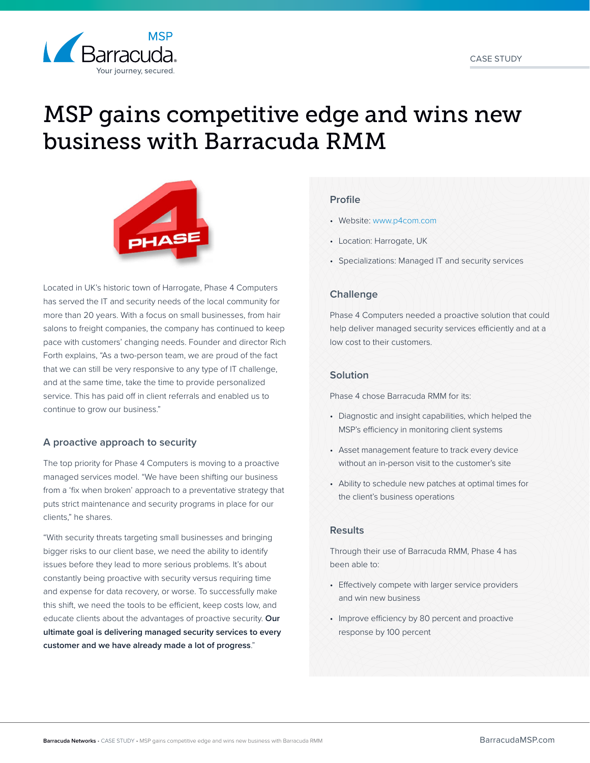



# MSP gains competitive edge and wins new business with Barracuda RMM



Located in UK's historic town of Harrogate, Phase 4 Computers has served the IT and security needs of the local community for more than 20 years. With a focus on small businesses, from hair salons to freight companies, the company has continued to keep pace with customers' changing needs. Founder and director Rich Forth explains, "As a two-person team, we are proud of the fact that we can still be very responsive to any type of IT challenge, and at the same time, take the time to provide personalized service. This has paid off in client referrals and enabled us to continue to grow our business."

# **A proactive approach to security**

The top priority for Phase 4 Computers is moving to a proactive managed services model. "We have been shifting our business from a 'fix when broken' approach to a preventative strategy that puts strict maintenance and security programs in place for our clients," he shares.

"With security threats targeting small businesses and bringing bigger risks to our client base, we need the ability to identify issues before they lead to more serious problems. It's about constantly being proactive with security versus requiring time and expense for data recovery, or worse. To successfully make this shift, we need the tools to be efficient, keep costs low, and educate clients about the advantages of proactive security. **Our ultimate goal is delivering managed security services to every customer and we have already made a lot of progress**."

### **Profile**

- Website: [www.p4com.com](http://p4com.com/)
- Location: Harrogate, UK
- Specializations: Managed IT and security services

# **Challenge**

Phase 4 Computers needed a proactive solution that could help deliver managed security services efficiently and at a low cost to their customers.

### **Solution**

Phase 4 chose Barracuda RMM for its:

- Diagnostic and insight capabilities, which helped the MSP's efficiency in monitoring client systems
- Asset management feature to track every device without an in-person visit to the customer's site
- Ability to schedule new patches at optimal times for the client's business operations

### **Results**

Through their use of Barracuda RMM, Phase 4 has been able to:

- Effectively compete with larger service providers and win new business
- Improve efficiency by 80 percent and proactive response by 100 percent